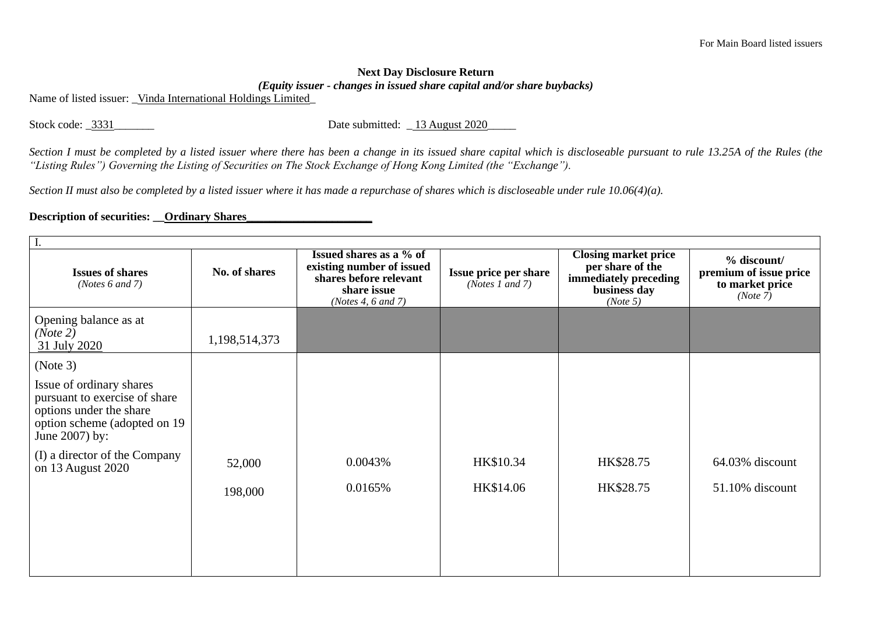## **Next Day Disclosure Return**  *(Equity issuer - changes in issued share capital and/or share buybacks)*

Name of listed issuer: Vinda International Holdings Limited

Stock code: \_3331\_\_\_\_\_\_\_\_\_ Date submitted: \_13 August 2020\_

*Section I must be completed by a listed issuer where there has been a change in its issued share capital which is discloseable pursuant to rule 13.25A of the Rules (the "Listing Rules") Governing the Listing of Securities on The Stock Exchange of Hong Kong Limited (the "Exchange").*

*Section II must also be completed by a listed issuer where it has made a repurchase of shares which is discloseable under rule 10.06(4)(a).*

## **Description of securities: \_\_Ordinary Shares\_**

| <b>Issues of shares</b><br>( <i>Notes</i> $6$ and $7$ )                                                                                 | No. of shares | Issued shares as a % of<br>existing number of issued<br>shares before relevant<br>share issue<br>(Notes 4, 6 and 7) | Issue price per share<br>(Notes 1 and 7) | <b>Closing market price</b><br>per share of the<br>immediately preceding<br>business day<br>(Note 5) | $%$ discount/<br>premium of issue price<br>to market price<br>(Note 7) |
|-----------------------------------------------------------------------------------------------------------------------------------------|---------------|---------------------------------------------------------------------------------------------------------------------|------------------------------------------|------------------------------------------------------------------------------------------------------|------------------------------------------------------------------------|
| Opening balance as at<br>(Note 2)<br>31 July 2020                                                                                       | 1,198,514,373 |                                                                                                                     |                                          |                                                                                                      |                                                                        |
| (Note 3)                                                                                                                                |               |                                                                                                                     |                                          |                                                                                                      |                                                                        |
| Issue of ordinary shares<br>pursuant to exercise of share<br>options under the share<br>option scheme (adopted on 19)<br>June 2007) by: |               |                                                                                                                     |                                          |                                                                                                      |                                                                        |
| (I) a director of the Company<br>on 13 August 2020                                                                                      | 52,000        | 0.0043%                                                                                                             | HK\$10.34                                | HK\$28.75                                                                                            | 64.03% discount                                                        |
|                                                                                                                                         | 198,000       | 0.0165%                                                                                                             | HK\$14.06                                | HK\$28.75                                                                                            | $51.10\%$ discount                                                     |
|                                                                                                                                         |               |                                                                                                                     |                                          |                                                                                                      |                                                                        |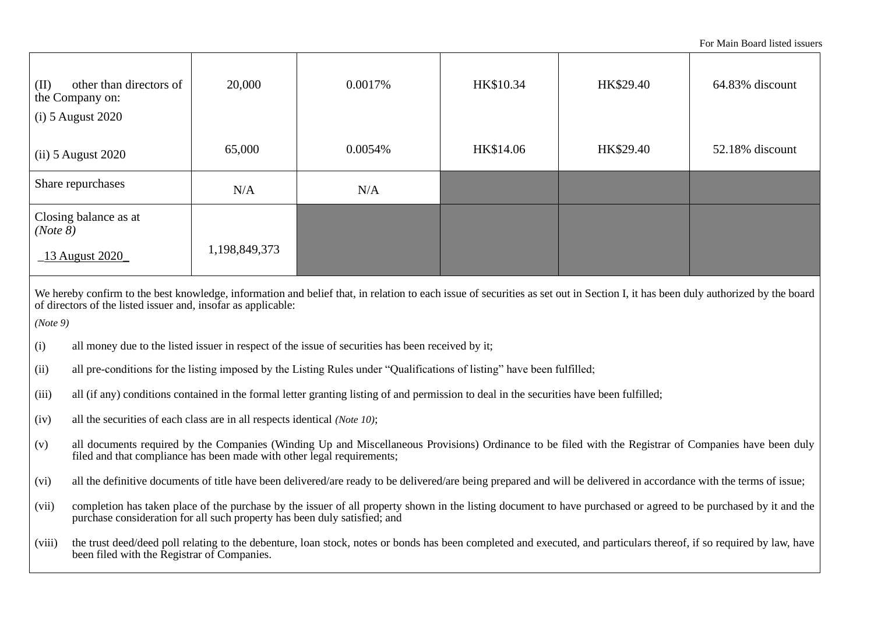For Main Board listed issuers

| other than directors of<br>(II)<br>the Company on:<br>$(i)$ 5 August 2020                                                                                                                                                                                    | 20,000                                                                                                                                                                                                              | 0.0017% | HK\$10.34 | HK\$29.40 | 64.83% discount |
|--------------------------------------------------------------------------------------------------------------------------------------------------------------------------------------------------------------------------------------------------------------|---------------------------------------------------------------------------------------------------------------------------------------------------------------------------------------------------------------------|---------|-----------|-----------|-----------------|
| $(ii)$ 5 August 2020                                                                                                                                                                                                                                         | 65,000                                                                                                                                                                                                              | 0.0054% | HK\$14.06 | HK\$29.40 | 52.18% discount |
| Share repurchases                                                                                                                                                                                                                                            | N/A                                                                                                                                                                                                                 | N/A     |           |           |                 |
| Closing balance as at<br>(Note 8)<br>$\_13$ August 2020                                                                                                                                                                                                      | 1,198,849,373                                                                                                                                                                                                       |         |           |           |                 |
| We hereby confirm to the best knowledge, information and belief that, in relation to each issue of securities as set out in Section I, it has been duly authorized by the board<br>of directors of the listed issuer and, insofar as applicable:<br>(Note 9) |                                                                                                                                                                                                                     |         |           |           |                 |
| (i)<br>all money due to the listed issuer in respect of the issue of securities has been received by it;                                                                                                                                                     |                                                                                                                                                                                                                     |         |           |           |                 |
| all pre-conditions for the listing imposed by the Listing Rules under "Qualifications of listing" have been fulfilled;<br>(ii)                                                                                                                               |                                                                                                                                                                                                                     |         |           |           |                 |
| (iii)<br>all (if any) conditions contained in the formal letter granting listing of and permission to deal in the securities have been fulfilled;                                                                                                            |                                                                                                                                                                                                                     |         |           |           |                 |
| all the securities of each class are in all respects identical (Note 10);<br>(iv)                                                                                                                                                                            |                                                                                                                                                                                                                     |         |           |           |                 |
| all documents required by the Companies (Winding Up and Miscellaneous Provisions) Ordinance to be filed with the Registrar of Companies have been duly<br>(v)<br>filed and that compliance has been made with other legal requirements;                      |                                                                                                                                                                                                                     |         |           |           |                 |
| (vi)                                                                                                                                                                                                                                                         | all the definitive documents of title have been delivered/are ready to be delivered/are being prepared and will be delivered in accordance with the terms of issue;                                                 |         |           |           |                 |
| completion has taken place of the purchase by the issuer of all property shown in the listing document to have purchased or agreed to be purchased by it and the<br>(vii)<br>purchase consideration for all such property has been duly satisfied; and       |                                                                                                                                                                                                                     |         |           |           |                 |
| (viii)                                                                                                                                                                                                                                                       | the trust deed/deed poll relating to the debenture, loan stock, notes or bonds has been completed and executed, and particulars thereof, if so required by law, have<br>been filed with the Registrar of Companies. |         |           |           |                 |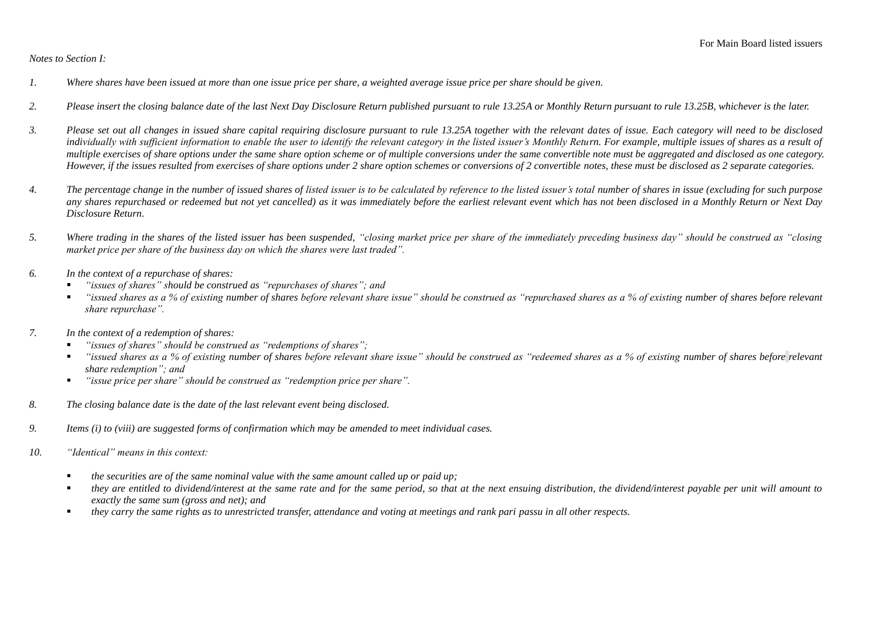## *Notes to Section I:*

- *1. Where shares have been issued at more than one issue price per share, a weighted average issue price per share should be given.*
- *2. Please insert the closing balance date of the last Next Day Disclosure Return published pursuant to rule 13.25A or Monthly Return pursuant to rule 13.25B, whichever is the later.*
- *3. Please set out all changes in issued share capital requiring disclosure pursuant to rule 13.25A together with the relevant dates of issue. Each category will need to be disclosed*  individually with sufficient information to enable the user to identify the relevant category in the listed issuer's Monthly Return. For example, multiple issues of shares as a result of *multiple exercises of share options under the same share option scheme or of multiple conversions under the same convertible note must be aggregated and disclosed as one category. However, if the issues resulted from exercises of share options under 2 share option schemes or conversions of 2 convertible notes, these must be disclosed as 2 separate categories.*
- *4. The percentage change in the number of issued shares of listed issuer is to be calculated by reference to the listed issuer's total number of shares in issue (excluding for such purpose any shares repurchased or redeemed but not yet cancelled) as it was immediately before the earliest relevant event which has not been disclosed in a Monthly Return or Next Day Disclosure Return.*
- *5. Where trading in the shares of the listed issuer has been suspended, "closing market price per share of the immediately preceding business day" should be construed as "closing market price per share of the business day on which the shares were last traded".*
- *6. In the context of a repurchase of shares:*
	- *"issues of shares" should be construed as "repurchases of shares"; and*
	- *"issued shares as a % of existing number of shares before relevant share issue" should be construed as "repurchased shares as a % of existing number of shares before relevant share repurchase".*
- *7. In the context of a redemption of shares:*
	- "*issues of shares*" should be construed as "redemptions of shares";
	- *"issued shares as a % of existing number of shares before relevant share issue" should be construed as "redeemed shares as a % of existing number of shares before relevant share redemption"; and*
	- *"issue price per share" should be construed as "redemption price per share".*
- *8. The closing balance date is the date of the last relevant event being disclosed.*
- *9. Items (i) to (viii) are suggested forms of confirmation which may be amended to meet individual cases.*
- *10. "Identical" means in this context:* 
	- *the securities are of the same nominal value with the same amount called up or paid up;*
	- *they are entitled to dividend/interest at the same rate and for the same period, so that at the next ensuing distribution, the dividend/interest payable per unit will amount to exactly the same sum (gross and net); and*
	- *they carry the same rights as to unrestricted transfer, attendance and voting at meetings and rank pari passu in all other respects.*